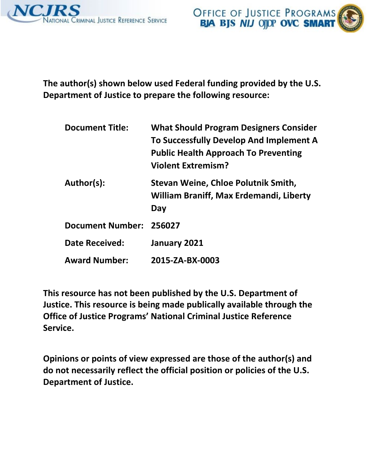



**The author(s) shown below used Federal funding provided by the U.S. Department of Justice to prepare the following resource:** 

| <b>Document Title:</b>  | <b>What Should Program Designers Consider</b><br>To Successfully Develop And Implement A<br><b>Public Health Approach To Preventing</b><br><b>Violent Extremism?</b> |
|-------------------------|----------------------------------------------------------------------------------------------------------------------------------------------------------------------|
| Author(s):              | Stevan Weine, Chloe Polutnik Smith,<br>William Braniff, Max Erdemandi, Liberty<br>Day                                                                                |
| <b>Document Number:</b> | 256027                                                                                                                                                               |
| <b>Date Received:</b>   | January 2021                                                                                                                                                         |
| <b>Award Number:</b>    | 2015-ZA-BX-0003                                                                                                                                                      |

**This resource has not been published by the U.S. Department of Justice. This resource is being made publically available through the Office of Justice Programs' National Criminal Justice Reference Service.** 

**Opinions or points of view expressed are those of the author(s) and do not necessarily reflect the official position or policies of the U.S. Department of Justice.**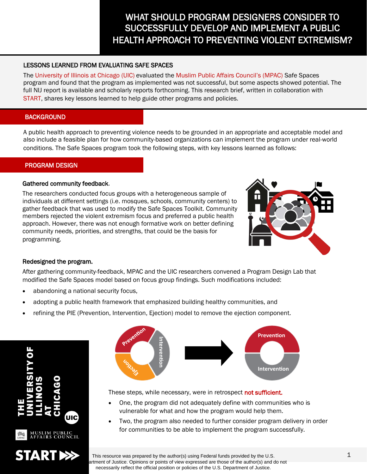# WHAT SHOULD PROGRAM DESIGNERS CONSIDER TO SUCCESSFULLY DEVELOP AND IMPLEMENT A PUBLIC HEALTH APPROACH TO PREVENTING VIOLENT EXTREMISM?

# LESSONS LEARNED FROM EVALUATING SAFE SPACES

The University of Illinois at Chicago (UIC) evaluated the Muslim Public Affairs Council's (MPAC) Safe Spaces program and found that the program as implemented was not successful, but some aspects showed potential. The full NIJ report is available and scholarly reports forthcoming. This research brief, written in collaboration with START, shares key lessons learned to help guide other programs and policies.

# **BACKGROUND**

A public health approach to preventing violence needs to be grounded in an appropriate and acceptable model and also include a feasible plan for how community-based organizations can implement the program under real-world conditions. The Safe Spaces program took the following steps, with key lessons learned as follows:

# PROGRAM DESIGN

## Gathered community feedback.

The researchers conducted focus groups with a heterogeneous sample of individuals at different settings (i.e. mosques, schools, community centers) to gather feedback that was used to modify the Safe Spaces Toolkit. Community members rejected the violent extremism focus and preferred a public health approach. However, there was not enough formative work on better defining community needs, priorities, and strengths, that could be the basis for programming.



# Redesigned the program.

After gathering community-feedback, MPAC and the UIC researchers convened a Program Design Lab that modified the Safe Spaces model based on focus group findings. Such modifications included:

- abandoning a national security focus,
- adopting a public health framework that emphasized building healthy communities, and
- refining the PIE (Prevention, Intervention, Ejection) model to remove the ejection component.





These steps, while necessary, were in retrospect not sufficient.

- One, the program did not adequately define with communities who is vulnerable for what and how the program would help them.
- Two, the program also needed to further consider program delivery in order for communities to be able to implement the program successfully.

This resource was prepared by the author(s) using Federal funds provided by the U.S. artment of Justice. Opinions or points of view expressed are those of the author(s) and do not necessarily reflect the official position or policies of the U.S. Department of Justice.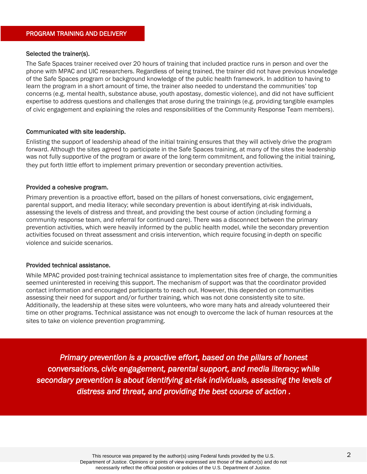## Selected the trainer(s).

The Safe Spaces trainer received over 20 hours of training that included practice runs in person and over the phone with MPAC and UIC researchers. Regardless of being trained, the trainer did not have previous knowledge of the Safe Spaces program or background knowledge of the public health framework. In addition to having to learn the program in a short amount of time, the trainer also needed to understand the communities' top concerns (e.g. mental health, substance abuse, youth apostasy, domestic violence), and did not have sufficient expertise to address questions and challenges that arose during the trainings (e.g. providing tangible examples of civic engagement and explaining the roles and responsibilities of the Community Response Team members).

## Communicated with site leadership.

Enlisting the support of leadership ahead of the initial training ensures that they will actively drive the program forward. Although the sites agreed to participate in the Safe Spaces training, at many of the sites the leadership was not fully supportive of the program or aware of the long-term commitment, and following the initial training, they put forth little effort to implement primary prevention or secondary prevention activities.

## Provided a cohesive program.

Primary prevention is a proactive effort, based on the pillars of honest conversations, civic engagement, parental support, and media literacy; while secondary prevention is about identifying at-risk individuals, assessing the levels of distress and threat, and providing the best course of action (including forming a community response team, and referral for continued care). There was a disconnect between the primary prevention activities, which were heavily informed by the public health model, while the secondary prevention activities focused on threat assessment and crisis intervention, which require focusing in-depth on specific violence and suicide scenarios.

#### Provided technical assistance.

While MPAC provided post-training technical assistance to implementation sites free of charge, the communities seemed uninterested in receiving this support. The mechanism of support was that the coordinator provided contact information and encouraged participants to reach out. However, this depended on communities assessing their need for support and/or further training, which was not done consistently site to site. Additionally, the leadership at these sites were volunteers, who wore many hats and already volunteered their time on other programs. Technical assistance was not enough to overcome the lack of human resources at the sites to take on violence prevention programming.

*Primary prevention is a proactive effort, based on the pillars of honest conversations, civic engagement, parental support, and media literacy; while secondary prevention is about identifying at-risk individuals, assessing the levels of distress and threat, and providing the best course of action .*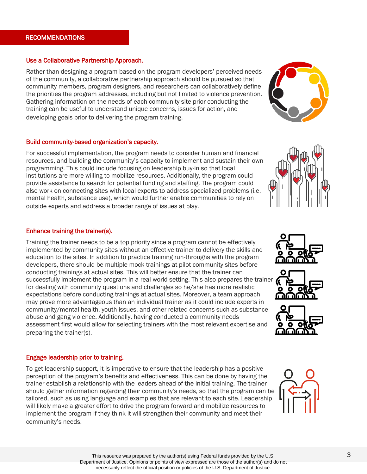# RECOMMENDATIONS

## Use a Collaborative Partnership Approach.

Rather than designing a program based on the program developers' perceived needs of the community, a collaborative partnership approach should be pursued so that community members, program designers, and researchers can collaboratively define the priorities the program addresses, including but not limited to violence prevention. Gathering information on the needs of each community site prior conducting the training can be useful to understand unique concerns, issues for action, and developing goals prior to delivering the program training.

## Build community-based organization's capacity.

For successful implementation, the program needs to consider human and financial resources, and building the community's capacity to implement and sustain their own programming. This could include focusing on leadership buy-in so that local institutions are more willing to mobilize resources. Additionally, the program could provide assistance to search for potential funding and staffing. The program could also work on connecting sites with local experts to address specialized problems (i.e. mental health, substance use), which would further enable communities to rely on outside experts and address a broader range of issues at play.

## Enhance training the trainer(s).

Training the trainer needs to be a top priority since a program cannot be effectively implemented by community sites without an effective trainer to delivery the skills and education to the sites. In addition to practice training run-throughs with the program developers, there should be multiple mock trainings at pilot community sites before conducting trainings at actual sites. This will better ensure that the trainer can successfully implement the program in a real-world setting. This also prepares the trainer for dealing with community questions and challenges so he/she has more realistic expectations before conducting trainings at actual sites. Moreover, a team approach may prove more advantageous than an individual trainer as it could include experts in community/mental health, youth issues, and other related concerns such as substance abuse and gang violence. Additionally, having conducted a community needs assessment first would allow for selecting trainers with the most relevant expertise and preparing the trainer(s).

# Engage leadership prior to training.

To get leadership support, it is imperative to ensure that the leadership has a positive perception of the program's benefits and effectiveness. This can be done by having the trainer establish a relationship with the leaders ahead of the initial training. The trainer should gather information regarding their community's needs, so that the program can be tailored, such as using language and examples that are relevant to each site. Leadership will likely make a greater effort to drive the program forward and mobilize resources to implement the program if they think it will strengthen their community and meet their community's needs.